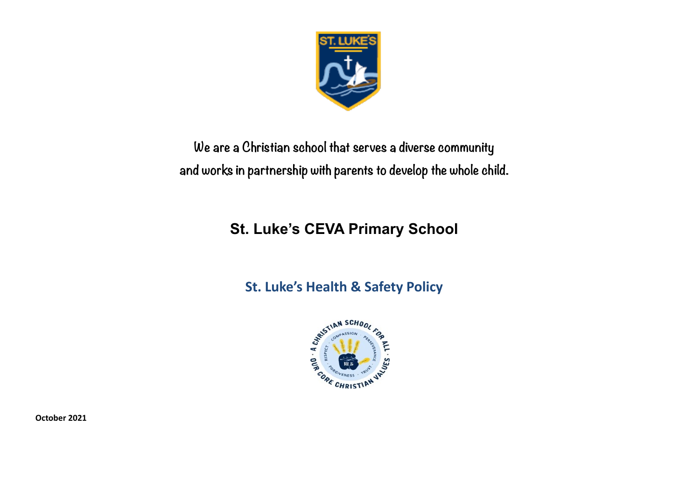

# **We are a Christian school that serves a diverse community and works in partnership with parents to develop the whole child.**

# **St. Luke's CEVA Primary School**

# **St. Luke's Health & Safety Policy**



**October 2021**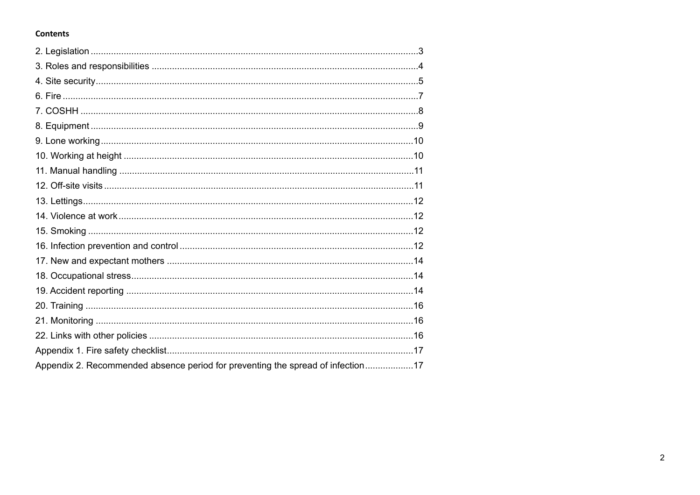## **Contents**

| Appendix 2. Recommended absence period for preventing the spread of infection17 |  |
|---------------------------------------------------------------------------------|--|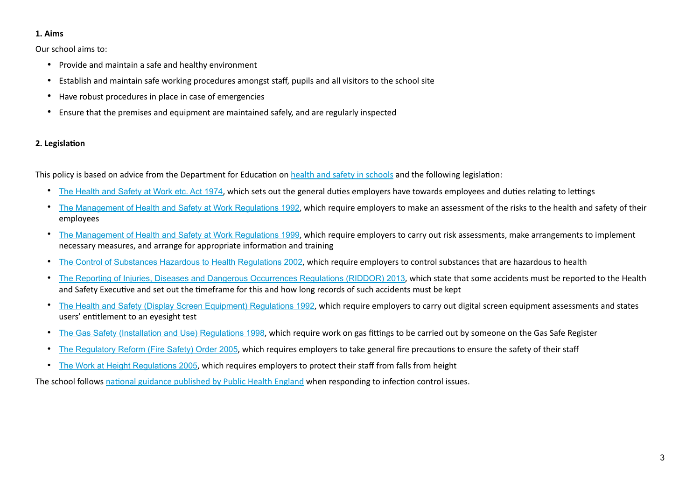#### **1. Aims**

Our school aims to:

- Provide and maintain a safe and healthy environment
- Establish and maintain safe working procedures amongst staff, pupils and all visitors to the school site
- Have robust procedures in place in case of emergencies
- Ensure that the premises and equipment are maintained safely, and are regularly inspected

# <span id="page-2-0"></span>**2. Legislation**

This policy is based on advice from the Department for Education on [health and safety in schools](https://www.gov.uk/government/publications/health-and-safety-advice-for-schools) and the following legislation:

- [The Health and Safety at Work etc. Act 1974](http://www.legislation.gov.uk/ukpga/1974/37), which sets out the general duties employers have towards employees and duties relating to lettings
- [The Management of Health and Safety at Work Regulations 1992](http://www.legislation.gov.uk/uksi/1992/2051/regulation/3/made), which require employers to make an assessment of the risks to the health and safety of their employees
- [The Management of Health and Safety at Work Regulations 1999](http://www.legislation.gov.uk/uksi/1999/3242/contents/made), which require employers to carry out risk assessments, make arrangements to implement necessary measures, and arrange for appropriate information and training
- [The Control of Substances Hazardous to Health Regulations 2002](http://www.legislation.gov.uk/uksi/2002/2677/contents/made), which require employers to control substances that are hazardous to health
- [The Reporting of Injuries, Diseases and Dangerous Occurrences Regulations \(RIDDOR\) 2013](http://www.legislation.gov.uk/uksi/2013/1471/schedule/1/paragraph/1/made), which state that some accidents must be reported to the Health and Safety Executive and set out the timeframe for this and how long records of such accidents must be kept
- [The Health and Safety \(Display Screen Equipment\) Regulations 1992](http://www.legislation.gov.uk/uksi/1992/2792/contents/made), which require employers to carry out digital screen equipment assessments and states users' entitlement to an eyesight test
- [The Gas Safety \(Installation and Use\) Regulations 1998](http://www.legislation.gov.uk/uksi/1998/2451/regulation/4/made), which require work on gas fittings to be carried out by someone on the Gas Safe Register
- [The Regulatory Reform \(Fire Safety\) Order 2005](http://www.legislation.gov.uk/uksi/2005/1541/part/2/made), which requires employers to take general fire precautions to ensure the safety of their staff
- [The Work at Height Regulations 2005](http://www.legislation.gov.uk/uksi/2005/735/contents/made), which requires employers to protect their staff from falls from height

The school follows [national guidance published by Public Health England](https://www.gov.uk/government/uploads/system/uploads/attachment_data/file/522337/Guidance_on_infection_control_in_schools.pdf) when responding to infection control issues.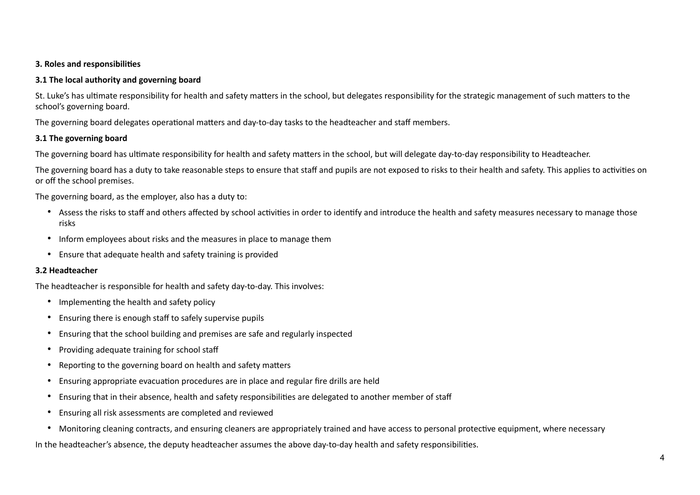## <span id="page-3-0"></span>**3. Roles and responsibilities**

## **3.1 The local authority and governing board**

St. Luke's has ultimate responsibility for health and safety matters in the school, but delegates responsibility for the strategic management of such matters to the school's governing board.

The governing board delegates operational matters and day-to-day tasks to the headteacher and staff members.

## **3.1 The governing board**

The governing board has ultimate responsibility for health and safety matters in the school, but will delegate day-to-day responsibility to Headteacher.

The governing board has a duty to take reasonable steps to ensure that staff and pupils are not exposed to risks to their health and safety. This applies to activities on or off the school premises.

The governing board, as the employer, also has a duty to:

- Assess the risks to staff and others affected by school activities in order to identify and introduce the health and safety measures necessary to manage those risks
- Inform employees about risks and the measures in place to manage them
- Ensure that adequate health and safety training is provided

## **3.2 Headteacher**

The headteacher is responsible for health and safety day-to-day. This involves:

- Implementing the health and safety policy
- Ensuring there is enough staff to safely supervise pupils
- Ensuring that the school building and premises are safe and regularly inspected
- Providing adequate training for school staff
- Reporting to the governing board on health and safety matters
- Ensuring appropriate evacuation procedures are in place and regular fire drills are held
- Ensuring that in their absence, health and safety responsibilities are delegated to another member of staff
- Ensuring all risk assessments are completed and reviewed
- Monitoring cleaning contracts, and ensuring cleaners are appropriately trained and have access to personal protective equipment, where necessary

In the headteacher's absence, the deputy headteacher assumes the above day-to-day health and safety responsibilities.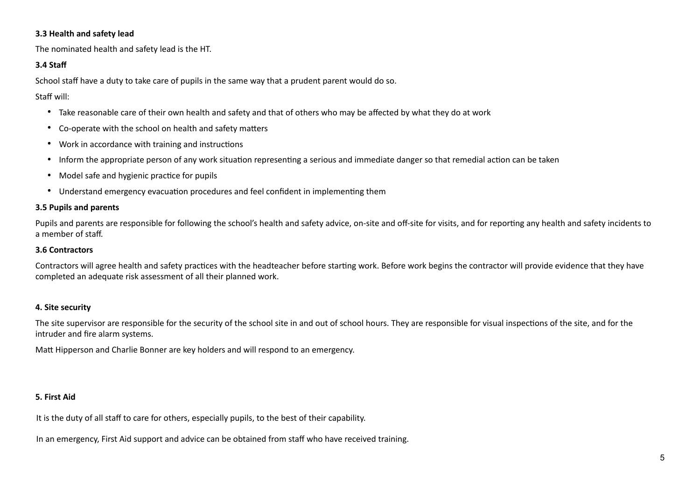## **3.3 Health and safety lead**

The nominated health and safety lead is the HT.

## **3.4 Staff**

School staff have a duty to take care of pupils in the same way that a prudent parent would do so.

## Staff will:

- Take reasonable care of their own health and safety and that of others who may be affected by what they do at work
- Co-operate with the school on health and safety matters
- Work in accordance with training and instructions
- Inform the appropriate person of any work situation representing a serious and immediate danger so that remedial action can be taken
- Model safe and hygienic practice for pupils
- Understand emergency evacuation procedures and feel confident in implementing them

## **3.5 Pupils and parents**

Pupils and parents are responsible for following the school's health and safety advice, on-site and off-site for visits, and for reporting any health and safety incidents to a member of staff.

#### **3.6 Contractors**

Contractors will agree health and safety practices with the headteacher before starting work. Before work begins the contractor will provide evidence that they have completed an adequate risk assessment of all their planned work.

#### <span id="page-4-0"></span>**4. Site security**

The site supervisor are responsible for the security of the school site in and out of school hours. They are responsible for visual inspections of the site, and for the intruder and fire alarm systems.

Matt Hipperson and Charlie Bonner are key holders and will respond to an emergency.

## **5. First Aid**

It is the duty of all staff to care for others, especially pupils, to the best of their capability.

In an emergency, First Aid support and advice can be obtained from staff who have received training.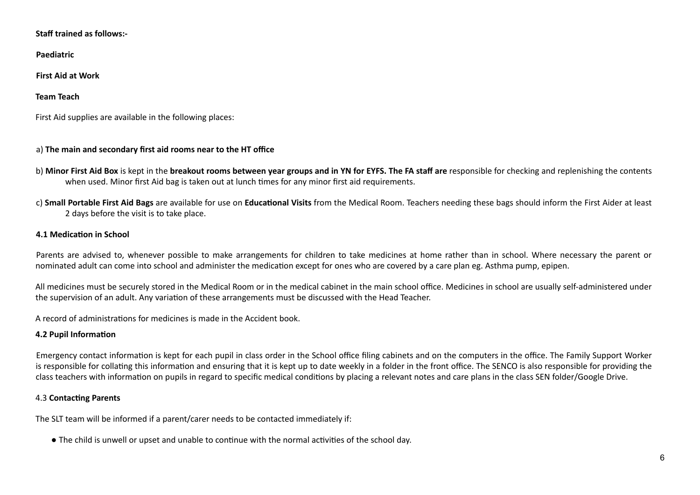**Staff trained as follows:-** 

**Paediatric** 

**First Aid at Work** 

**Team Teach** 

First Aid supplies are available in the following places:

## a) **The main and secondary first aid rooms near to the HT office**

- b) **Minor First Aid Box** is kept in the **breakout rooms between year groups and in YN for EYFS. The FA staff are** responsible for checking and replenishing the contents when used. Minor first Aid bag is taken out at lunch times for any minor first aid requirements.
- c) **Small Portable First Aid Bags** are available for use on **Educational Visits** from the Medical Room. Teachers needing these bags should inform the First Aider at least 2 days before the visit is to take place.

## **4.1 Medication in School**

Parents are advised to, whenever possible to make arrangements for children to take medicines at home rather than in school. Where necessary the parent or nominated adult can come into school and administer the medication except for ones who are covered by a care plan eg. Asthma pump, epipen.

All medicines must be securely stored in the Medical Room or in the medical cabinet in the main school office. Medicines in school are usually self-administered under the supervision of an adult. Any variation of these arrangements must be discussed with the Head Teacher.

A record of administrations for medicines is made in the Accident book.

#### **4.2 Pupil Information**

Emergency contact information is kept for each pupil in class order in the School office filing cabinets and on the computers in the office. The Family Support Worker is responsible for collating this information and ensuring that it is kept up to date weekly in a folder in the front office. The SENCO is also responsible for providing the class teachers with information on pupils in regard to specific medical conditions by placing a relevant notes and care plans in the class SEN folder/Google Drive.

## 4.3 **Contacting Parents**

The SLT team will be informed if a parent/carer needs to be contacted immediately if:

● The child is unwell or upset and unable to continue with the normal activities of the school day.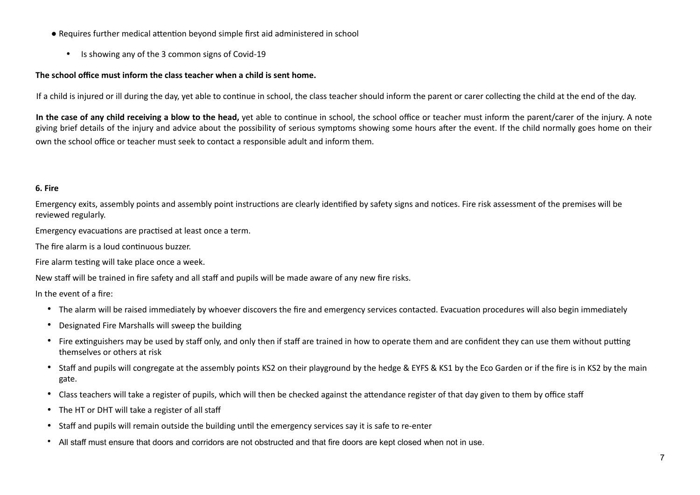- Requires further medical attention beyond simple first aid administered in school
	- Is showing any of the 3 common signs of Covid-19

## **The school office must inform the class teacher when a child is sent home.**

If a child is injured or ill during the day, yet able to continue in school, the class teacher should inform the parent or carer collecting the child at the end of the day.

**In the case of any child receiving a blow to the head,** yet able to continue in school, the school office or teacher must inform the parent/carer of the injury. A note giving brief details of the injury and advice about the possibility of serious symptoms showing some hours after the event. If the child normally goes home on their own the school office or teacher must seek to contact a responsible adult and inform them.

## <span id="page-6-0"></span>**6. Fire**

Emergency exits, assembly points and assembly point instructions are clearly identified by safety signs and notices. Fire risk assessment of the premises will be reviewed regularly.

Emergency evacuations are practised at least once a term.

The fire alarm is a loud continuous buzzer.

Fire alarm testing will take place once a week.

New staff will be trained in fire safety and all staff and pupils will be made aware of any new fire risks.

In the event of a fire:

- The alarm will be raised immediately by whoever discovers the fire and emergency services contacted. Evacuation procedures will also begin immediately
- Designated Fire Marshalls will sweep the building
- Fire extinguishers may be used by staff only, and only then if staff are trained in how to operate them and are confident they can use them without putting themselves or others at risk
- Staff and pupils will congregate at the assembly points KS2 on their playground by the hedge & EYFS & KS1 by the Eco Garden or if the fire is in KS2 by the main gate.
- Class teachers will take a register of pupils, which will then be checked against the attendance register of that day given to them by office staff
- The HT or DHT will take a register of all staff
- Staff and pupils will remain outside the building until the emergency services say it is safe to re-enter
- All staff must ensure that doors and corridors are not obstructed and that fire doors are kept closed when not in use.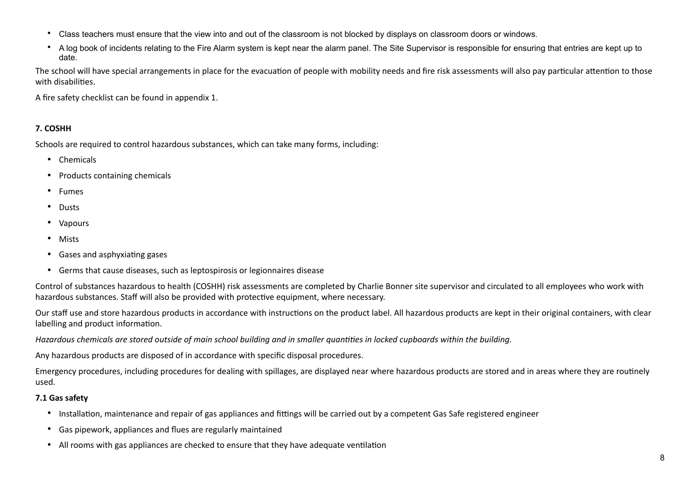- Class teachers must ensure that the view into and out of the classroom is not blocked by displays on classroom doors or windows.
- A log book of incidents relating to the Fire Alarm system is kept near the alarm panel. The Site Supervisor is responsible for ensuring that entries are kept up to date.

The school will have special arrangements in place for the evacuation of people with mobility needs and fire risk assessments will also pay particular attention to those with disabilities.

A fire safety checklist can be found in appendix 1.

## <span id="page-7-0"></span>**7. COSHH**

Schools are required to control hazardous substances, which can take many forms, including:

- Chemicals
- Products containing chemicals
- Fumes
- Dusts
- Vapours
- Mists
- Gases and asphyxiating gases
- Germs that cause diseases, such as leptospirosis or legionnaires disease

Control of substances hazardous to health (COSHH) risk assessments are completed by Charlie Bonner site supervisor and circulated to all employees who work with hazardous substances. Staff will also be provided with protective equipment, where necessary.

Our staff use and store hazardous products in accordance with instructions on the product label. All hazardous products are kept in their original containers, with clear labelling and product information.

*Hazardous chemicals are stored outside of main school building and in smaller quantities in locked cupboards within the building.*

Any hazardous products are disposed of in accordance with specific disposal procedures.

Emergency procedures, including procedures for dealing with spillages, are displayed near where hazardous products are stored and in areas where they are routinely used.

## **7.1 Gas safety**

- Installation, maintenance and repair of gas appliances and fittings will be carried out by a competent Gas Safe registered engineer
- Gas pipework, appliances and flues are regularly maintained
- All rooms with gas appliances are checked to ensure that they have adequate ventilation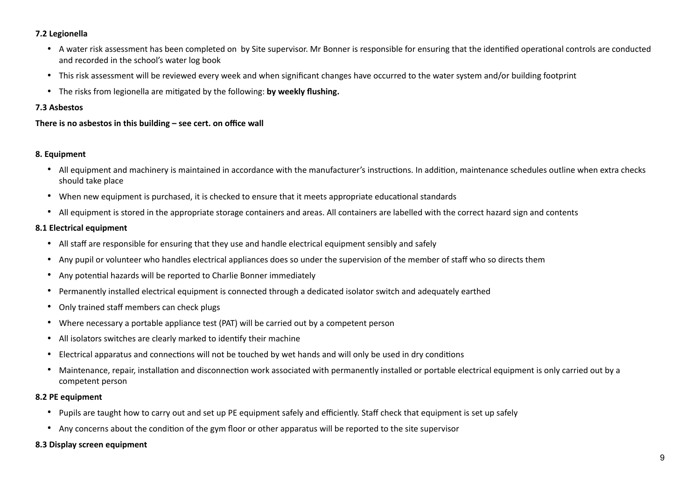## **7.2 Legionella**

- A water risk assessment has been completed on by Site supervisor. Mr Bonner is responsible for ensuring that the identified operational controls are conducted and recorded in the school's water log book
- This risk assessment will be reviewed every week and when significant changes have occurred to the water system and/or building footprint
- The risks from legionella are mitigated by the following: **by weekly flushing.**

#### **7.3 Asbestos**

**There is no asbestos in this building – see cert. on office wall**

## <span id="page-8-0"></span>**8. Equipment**

- All equipment and machinery is maintained in accordance with the manufacturer's instructions. In addition, maintenance schedules outline when extra checks should take place
- When new equipment is purchased, it is checked to ensure that it meets appropriate educational standards
- All equipment is stored in the appropriate storage containers and areas. All containers are labelled with the correct hazard sign and contents

## **8.1 Electrical equipment**

- All staff are responsible for ensuring that they use and handle electrical equipment sensibly and safely
- Any pupil or volunteer who handles electrical appliances does so under the supervision of the member of staff who so directs them
- Any potential hazards will be reported to Charlie Bonner immediately
- Permanently installed electrical equipment is connected through a dedicated isolator switch and adequately earthed
- Only trained staff members can check plugs
- Where necessary a portable appliance test (PAT) will be carried out by a competent person
- All isolators switches are clearly marked to identify their machine
- Electrical apparatus and connections will not be touched by wet hands and will only be used in dry conditions
- Maintenance, repair, installation and disconnection work associated with permanently installed or portable electrical equipment is only carried out by a competent person

#### **8.2 PE equipment**

- Pupils are taught how to carry out and set up PE equipment safely and efficiently. Staff check that equipment is set up safely
- Any concerns about the condition of the gym floor or other apparatus will be reported to the site supervisor

## **8.3 Display screen equipment**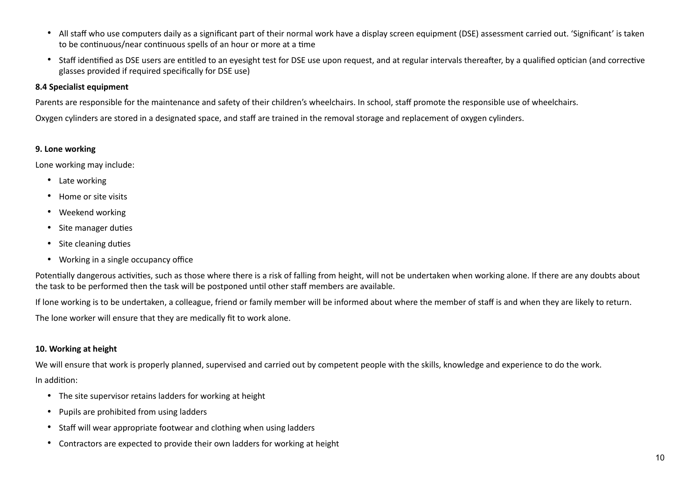- All staff who use computers daily as a significant part of their normal work have a display screen equipment (DSE) assessment carried out. 'Significant' is taken to be continuous/near continuous spells of an hour or more at a time
- Staff identified as DSE users are entitled to an eyesight test for DSE use upon request, and at regular intervals thereafter, by a qualified optician (and corrective glasses provided if required specifically for DSE use)

## **8.4 Specialist equipment**

Parents are responsible for the maintenance and safety of their children's wheelchairs. In school, staff promote the responsible use of wheelchairs.

Oxygen cylinders are stored in a designated space, and staff are trained in the removal storage and replacement of oxygen cylinders.

## <span id="page-9-0"></span>**9. Lone working**

Lone working may include:

- Late working
- Home or site visits
- Weekend working
- Site manager duties
- Site cleaning duties
- Working in a single occupancy office

Potentially dangerous activities, such as those where there is a risk of falling from height, will not be undertaken when working alone. If there are any doubts about the task to be performed then the task will be postponed until other staff members are available.

If lone working is to be undertaken, a colleague, friend or family member will be informed about where the member of staff is and when they are likely to return.

The lone worker will ensure that they are medically fit to work alone.

## <span id="page-9-1"></span>**10. Working at height**

We will ensure that work is properly planned, supervised and carried out by competent people with the skills, knowledge and experience to do the work. In addition:

- The site supervisor retains ladders for working at height
- Pupils are prohibited from using ladders
- Staff will wear appropriate footwear and clothing when using ladders
- Contractors are expected to provide their own ladders for working at height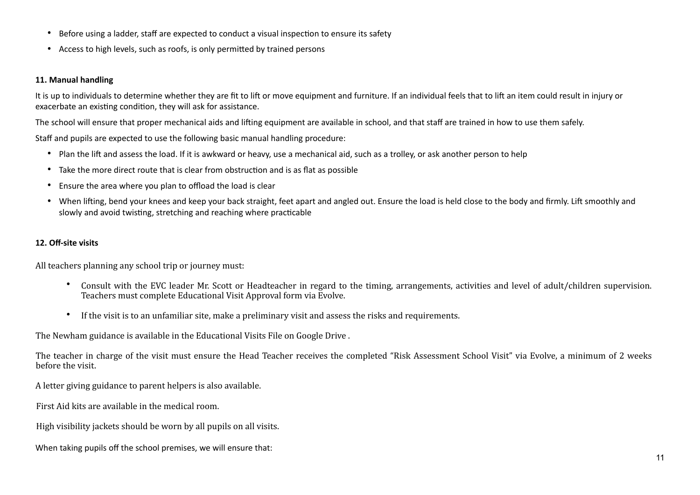- Before using a ladder, staff are expected to conduct a visual inspection to ensure its safety
- Access to high levels, such as roofs, is only permitted by trained persons

## <span id="page-10-0"></span>**11. Manual handling**

It is up to individuals to determine whether they are fit to lift or move equipment and furniture. If an individual feels that to lift an item could result in injury or exacerbate an existing condition, they will ask for assistance.

The school will ensure that proper mechanical aids and lifting equipment are available in school, and that staff are trained in how to use them safely.

Staff and pupils are expected to use the following basic manual handling procedure:

- Plan the lift and assess the load. If it is awkward or heavy, use a mechanical aid, such as a trolley, or ask another person to help
- Take the more direct route that is clear from obstruction and is as flat as possible
- Ensure the area where you plan to offload the load is clear
- When lifting, bend your knees and keep your back straight, feet apart and angled out. Ensure the load is held close to the body and firmly. Lift smoothly and slowly and avoid twisting, stretching and reaching where practicable

## <span id="page-10-1"></span>**12. Off-site visits**

All teachers planning any school trip or journey must:

- Consult with the EVC leader Mr. Scott or Headteacher in regard to the timing, arrangements, activities and level of adult/children supervision. Teachers must complete Educational Visit Approval form via Evolve.
- If the visit is to an unfamiliar site, make a preliminary visit and assess the risks and requirements.

The Newham guidance is available in the Educational Visits File on Google Drive.

The teacher in charge of the visit must ensure the Head Teacher receives the completed "Risk Assessment School Visit" via Evolve, a minimum of 2 weeks before the visit.

A letter giving guidance to parent helpers is also available.

First Aid kits are available in the medical room.

High visibility jackets should be worn by all pupils on all visits.

When taking pupils off the school premises, we will ensure that: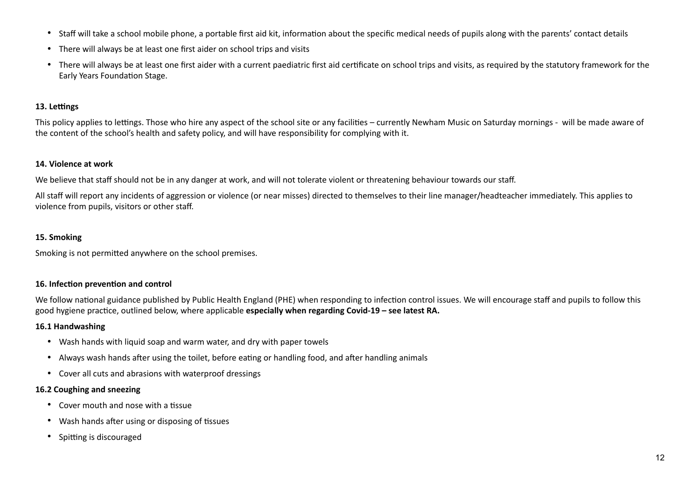- Staff will take a school mobile phone, a portable first aid kit, information about the specific medical needs of pupils along with the parents' contact details
- There will always be at least one first aider on school trips and visits
- There will always be at least one first aider with a current paediatric first aid certificate on school trips and visits, as required by the statutory framework for the Early Years Foundation Stage.

## <span id="page-11-0"></span>**13. Lettings**

This policy applies to lettings. Those who hire any aspect of the school site or any facilities – currently Newham Music on Saturday mornings - will be made aware of the content of the school's health and safety policy, and will have responsibility for complying with it.

## <span id="page-11-1"></span>**14. Violence at work**

We believe that staff should not be in any danger at work, and will not tolerate violent or threatening behaviour towards our staff.

All staff will report any incidents of aggression or violence (or near misses) directed to themselves to their line manager/headteacher immediately. This applies to violence from pupils, visitors or other staff.

## <span id="page-11-2"></span>**15. Smoking**

Smoking is not permitted anywhere on the school premises.

## <span id="page-11-3"></span>**16. Infection prevention and control**

We follow national guidance published by Public Health England (PHE) when responding to infection control issues. We will encourage staff and pupils to follow this good hygiene practice, outlined below, where applicable **especially when regarding Covid-19 – see latest RA.** 

## **16.1 Handwashing**

- Wash hands with liquid soap and warm water, and dry with paper towels
- Always wash hands after using the toilet, before eating or handling food, and after handling animals
- Cover all cuts and abrasions with waterproof dressings

## **16.2 Coughing and sneezing**

- Cover mouth and nose with a tissue
- Wash hands after using or disposing of tissues
- Spitting is discouraged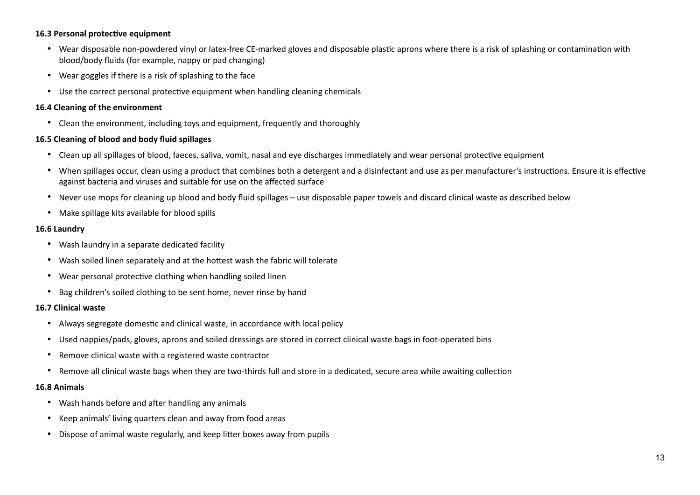#### **16.3 Personal protective equipment**

- Wear disposable non-powdered vinyl or latex-free CE-marked gloves and disposable plastic aprons where there is a risk of splashing or contamination with blood/body fluids (for example, nappy or pad changing)
- Wear goggles if there is a risk of splashing to the face
- Use the correct personal protective equipment when handling cleaning chemicals

#### **16.4 Cleaning of the environment**

• Clean the environment, including toys and equipment, frequently and thoroughly

## **16.5 Cleaning of blood and body fluid spillages**

- Clean up all spillages of blood, faeces, saliva, vomit, nasal and eye discharges immediately and wear personal protective equipment
- When spillages occur, clean using a product that combines both a detergent and a disinfectant and use as per manufacturer's instructions. Ensure it is effective against bacteria and viruses and suitable for use on the affected surface
- Never use mops for cleaning up blood and body fluid spillages use disposable paper towels and discard clinical waste as described below
- Make spillage kits available for blood spills

## **16.6 Laundry**

- Wash laundry in a separate dedicated facility
- Wash soiled linen separately and at the hottest wash the fabric will tolerate
- Wear personal protective clothing when handling soiled linen
- Bag children's soiled clothing to be sent home, never rinse by hand

## **16.7 Clinical waste**

- Always segregate domestic and clinical waste, in accordance with local policy
- Used nappies/pads, gloves, aprons and soiled dressings are stored in correct clinical waste bags in foot-operated bins
- Remove clinical waste with a registered waste contractor
- Remove all clinical waste bags when they are two-thirds full and store in a dedicated, secure area while awaiting collection

#### **16.8 Animals**

- Wash hands before and after handling any animals
- Keep animals' living quarters clean and away from food areas
- Dispose of animal waste regularly, and keep litter boxes away from pupils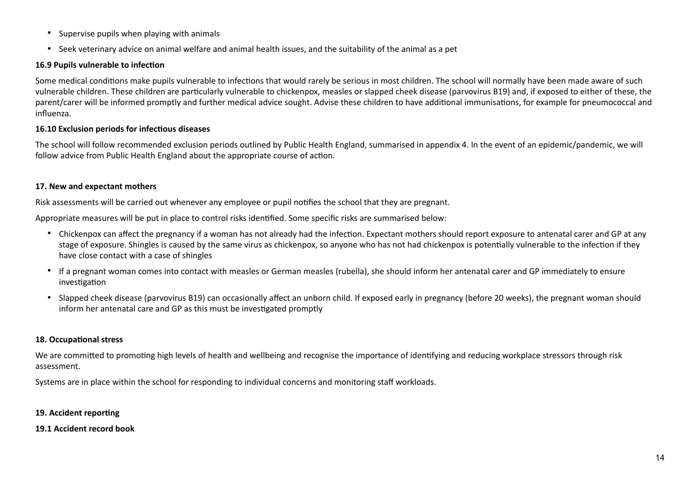- Supervise pupils when playing with animals
- Seek veterinary advice on animal welfare and animal health issues, and the suitability of the animal as a pet

## **16.9 Pupils vulnerable to infection**

Some medical conditions make pupils vulnerable to infections that would rarely be serious in most children. The school will normally have been made aware of such vulnerable children. These children are particularly vulnerable to chickenpox, measles or slapped cheek disease (parvovirus B19) and, if exposed to either of these, the parent/carer will be informed promptly and further medical advice sought. Advise these children to have additional immunisations, for example for pneumococcal and influenza.

## **16.10 Exclusion periods for infectious diseases**

The school will follow recommended exclusion periods outlined by Public Health England, summarised in appendix 4. In the event of an epidemic/pandemic, we will follow advice from Public Health England about the appropriate course of action.

## <span id="page-13-0"></span>**17. New and expectant mothers**

Risk assessments will be carried out whenever any employee or pupil notifies the school that they are pregnant.

Appropriate measures will be put in place to control risks identified. Some specific risks are summarised below:

- Chickenpox can affect the pregnancy if a woman has not already had the infection. Expectant mothers should report exposure to antenatal carer and GP at any stage of exposure. Shingles is caused by the same virus as chickenpox, so anyone who has not had chickenpox is potentially vulnerable to the infection if they have close contact with a case of shingles
- If a pregnant woman comes into contact with measles or German measles (rubella), she should inform her antenatal carer and GP immediately to ensure investigation
- Slapped cheek disease (parvovirus B19) can occasionally affect an unborn child. If exposed early in pregnancy (before 20 weeks), the pregnant woman should inform her antenatal care and GP as this must be investigated promptly

## <span id="page-13-1"></span>**18. Occupational stress**

We are committed to promoting high levels of health and wellbeing and recognise the importance of identifying and reducing workplace stressors through risk assessment.

Systems are in place within the school for responding to individual concerns and monitoring staff workloads.

#### <span id="page-13-2"></span>**19. Accident reporting**

**19.1 Accident record book**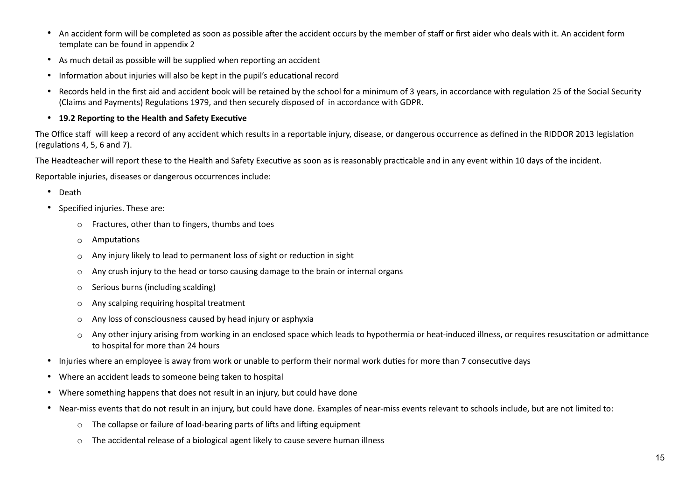- An accident form will be completed as soon as possible after the accident occurs by the member of staff or first aider who deals with it. An accident form template can be found in appendix 2
- As much detail as possible will be supplied when reporting an accident
- Information about injuries will also be kept in the pupil's educational record
- Records held in the first aid and accident book will be retained by the school for a minimum of 3 years, in accordance with regulation 25 of the Social Security (Claims and Payments) Regulations 1979, and then securely disposed of in accordance with GDPR.
- **19.2 Reporting to the Health and Safety Executive**

The Office staff will keep a record of any accident which results in a reportable injury, disease, or dangerous occurrence as defined in the RIDDOR 2013 legislation (regulations 4, 5, 6 and 7).

The Headteacher will report these to the Health and Safety Executive as soon as is reasonably practicable and in any event within 10 days of the incident.

Reportable injuries, diseases or dangerous occurrences include:

- Death
- Specified injuries. These are:
	- o Fractures, other than to fingers, thumbs and toes
	- o Amputations
	- o Any injury likely to lead to permanent loss of sight or reduction in sight
	- $\circ$  Any crush injury to the head or torso causing damage to the brain or internal organs
	- $\circ$  Serious burns (including scalding)
	- o Any scalping requiring hospital treatment
	- o Any loss of consciousness caused by head injury or asphyxia
	- o Any other injury arising from working in an enclosed space which leads to hypothermia or heat-induced illness, or requires resuscitation or admittance to hospital for more than 24 hours
- Injuries where an employee is away from work or unable to perform their normal work duties for more than 7 consecutive days
- Where an accident leads to someone being taken to hospital
- Where something happens that does not result in an injury, but could have done
- Near-miss events that do not result in an injury, but could have done. Examples of near-miss events relevant to schools include, but are not limited to:
	- $\circ$  The collapse or failure of load-bearing parts of lifts and lifting equipment
	- $\circ$  The accidental release of a biological agent likely to cause severe human illness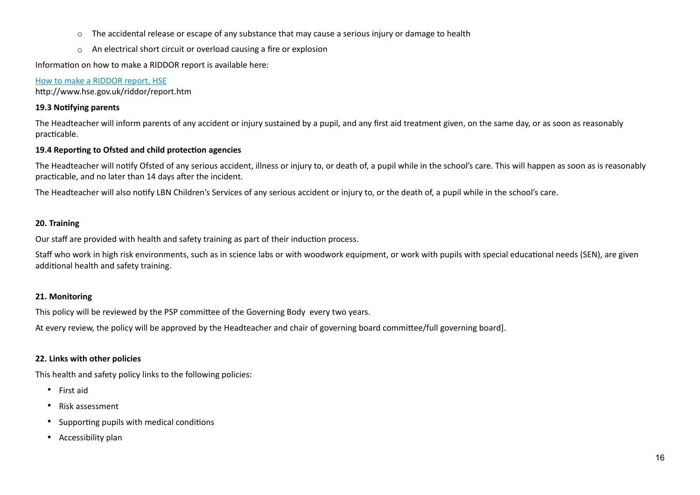- $\circ$  The accidental release or escape of any substance that may cause a serious injury or damage to health
- o An electrical short circuit or overload causing a fire or explosion

Information on how to make a RIDDOR report is available here:

## [How to make a RIDDOR report, HSE](http://www.hse.gov.uk/riddor/report.htm)

http://www.hse.gov.uk/riddor/report.htm

## **19.3 Notifying parents**

The Headteacher will inform parents of any accident or injury sustained by a pupil, and any first aid treatment given, on the same day, or as soon as reasonably practicable.

## **19.4 Reporting to Ofsted and child protection agencies**

The Headteacher will notify Ofsted of any serious accident, illness or injury to, or death of, a pupil while in the school's care. This will happen as soon as is reasonably practicable, and no later than 14 days after the incident.

The Headteacher will also notify LBN Children's Services of any serious accident or injury to, or the death of, a pupil while in the school's care.

## <span id="page-15-0"></span>**20. Training**

Our staff are provided with health and safety training as part of their induction process.

Staff who work in high risk environments, such as in science labs or with woodwork equipment, or work with pupils with special educational needs (SEN), are given additional health and safety training.

## <span id="page-15-1"></span>**21. Monitoring**

This policy will be reviewed by the PSP committee of the Governing Body every two years.

At every review, the policy will be approved by the Headteacher and chair of governing board committee/full governing board].

# <span id="page-15-2"></span>**22. Links with other policies**

This health and safety policy links to the following policies:

- First aid
- Risk assessment
- Supporting pupils with medical conditions
- Accessibility plan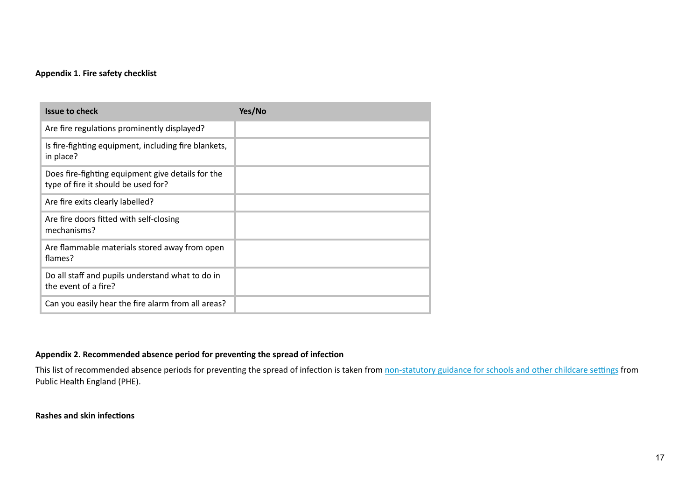## <span id="page-16-0"></span>**Appendix 1. Fire safety checklist**

| <b>Issue to check</b>                                                                    | Yes/No |
|------------------------------------------------------------------------------------------|--------|
| Are fire regulations prominently displayed?                                              |        |
| Is fire-fighting equipment, including fire blankets,<br>in place?                        |        |
| Does fire-fighting equipment give details for the<br>type of fire it should be used for? |        |
| Are fire exits clearly labelled?                                                         |        |
| Are fire doors fitted with self-closing<br>mechanisms?                                   |        |
| Are flammable materials stored away from open<br>flames?                                 |        |
| Do all staff and pupils understand what to do in<br>the event of a fire?                 |        |
| Can you easily hear the fire alarm from all areas?                                       |        |

# <span id="page-16-1"></span>**Appendix 2. Recommended absence period for preventing the spread of infection**

This list of recommended absence periods for preventing the spread of infection is taken from [non-statutory guidance for schools and other childcare settings](https://www.gov.uk/government/uploads/system/uploads/attachment_data/file/522337/Guidance_on_infection_control_in_schools.pdf) from Public Health England (PHE).

## **Rashes and skin infections**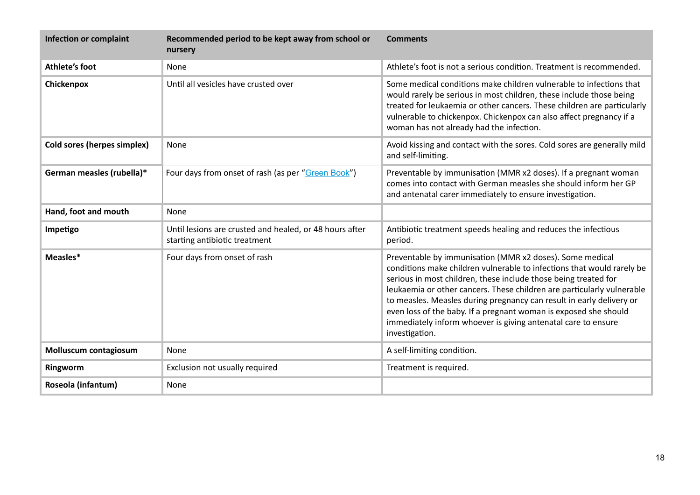| <b>Infection or complaint</b> | Recommended period to be kept away from school or<br>nursery                             | <b>Comments</b>                                                                                                                                                                                                                                                                                                                                                                                                                                                                                                |
|-------------------------------|------------------------------------------------------------------------------------------|----------------------------------------------------------------------------------------------------------------------------------------------------------------------------------------------------------------------------------------------------------------------------------------------------------------------------------------------------------------------------------------------------------------------------------------------------------------------------------------------------------------|
| Athlete's foot                | None                                                                                     | Athlete's foot is not a serious condition. Treatment is recommended.                                                                                                                                                                                                                                                                                                                                                                                                                                           |
| Chickenpox                    | Until all vesicles have crusted over                                                     | Some medical conditions make children vulnerable to infections that<br>would rarely be serious in most children, these include those being<br>treated for leukaemia or other cancers. These children are particularly<br>vulnerable to chickenpox. Chickenpox can also affect pregnancy if a<br>woman has not already had the infection.                                                                                                                                                                       |
| Cold sores (herpes simplex)   | None                                                                                     | Avoid kissing and contact with the sores. Cold sores are generally mild<br>and self-limiting.                                                                                                                                                                                                                                                                                                                                                                                                                  |
| German measles (rubella)*     | Four days from onset of rash (as per "Green Book")                                       | Preventable by immunisation (MMR x2 doses). If a pregnant woman<br>comes into contact with German measles she should inform her GP<br>and antenatal carer immediately to ensure investigation.                                                                                                                                                                                                                                                                                                                 |
| Hand, foot and mouth          | None                                                                                     |                                                                                                                                                                                                                                                                                                                                                                                                                                                                                                                |
| Impetigo                      | Until lesions are crusted and healed, or 48 hours after<br>starting antibiotic treatment | Antibiotic treatment speeds healing and reduces the infectious<br>period.                                                                                                                                                                                                                                                                                                                                                                                                                                      |
| Measles*                      | Four days from onset of rash                                                             | Preventable by immunisation (MMR x2 doses). Some medical<br>conditions make children vulnerable to infections that would rarely be<br>serious in most children, these include those being treated for<br>leukaemia or other cancers. These children are particularly vulnerable<br>to measles. Measles during pregnancy can result in early delivery or<br>even loss of the baby. If a pregnant woman is exposed she should<br>immediately inform whoever is giving antenatal care to ensure<br>investigation. |
| Molluscum contagiosum         | None                                                                                     | A self-limiting condition.                                                                                                                                                                                                                                                                                                                                                                                                                                                                                     |
| Ringworm                      | Exclusion not usually required                                                           | Treatment is required.                                                                                                                                                                                                                                                                                                                                                                                                                                                                                         |
| Roseola (infantum)            | None                                                                                     |                                                                                                                                                                                                                                                                                                                                                                                                                                                                                                                |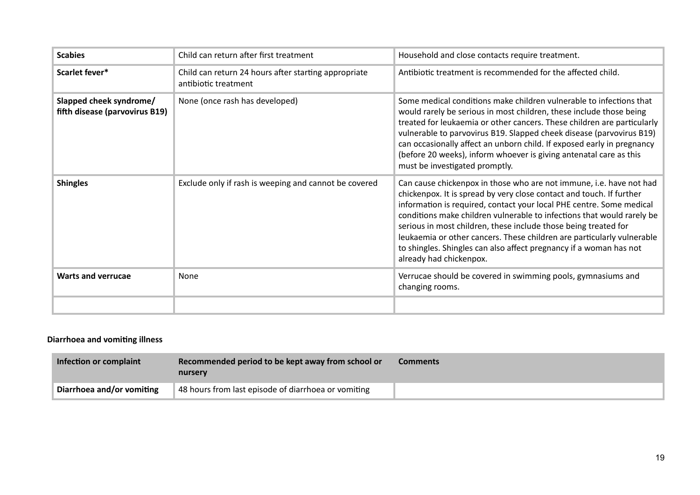| <b>Scabies</b>                                            | Child can return after first treatment                                       | Household and close contacts require treatment.                                                                                                                                                                                                                                                                                                                                                                                                                                                                                             |
|-----------------------------------------------------------|------------------------------------------------------------------------------|---------------------------------------------------------------------------------------------------------------------------------------------------------------------------------------------------------------------------------------------------------------------------------------------------------------------------------------------------------------------------------------------------------------------------------------------------------------------------------------------------------------------------------------------|
| Scarlet fever*                                            | Child can return 24 hours after starting appropriate<br>antibiotic treatment | Antibiotic treatment is recommended for the affected child.                                                                                                                                                                                                                                                                                                                                                                                                                                                                                 |
| Slapped cheek syndrome/<br>fifth disease (parvovirus B19) | None (once rash has developed)                                               | Some medical conditions make children vulnerable to infections that<br>would rarely be serious in most children, these include those being<br>treated for leukaemia or other cancers. These children are particularly<br>vulnerable to parvovirus B19. Slapped cheek disease (parvovirus B19)<br>can occasionally affect an unborn child. If exposed early in pregnancy<br>(before 20 weeks), inform whoever is giving antenatal care as this<br>must be investigated promptly.                                                             |
| <b>Shingles</b>                                           | Exclude only if rash is weeping and cannot be covered                        | Can cause chickenpox in those who are not immune, i.e. have not had<br>chickenpox. It is spread by very close contact and touch. If further<br>information is required, contact your local PHE centre. Some medical<br>conditions make children vulnerable to infections that would rarely be<br>serious in most children, these include those being treated for<br>leukaemia or other cancers. These children are particularly vulnerable<br>to shingles. Shingles can also affect pregnancy if a woman has not<br>already had chickenpox. |
| <b>Warts and verrucae</b>                                 | None                                                                         | Verrucae should be covered in swimming pools, gymnasiums and<br>changing rooms.                                                                                                                                                                                                                                                                                                                                                                                                                                                             |
|                                                           |                                                                              |                                                                                                                                                                                                                                                                                                                                                                                                                                                                                                                                             |

# **Diarrhoea and vomiting illness**

| Infection or complaint    | Recommended period to be kept away from school or<br>nursery | <b>Comments</b> |
|---------------------------|--------------------------------------------------------------|-----------------|
| Diarrhoea and/or vomiting | 48 hours from last episode of diarrhoea or vomiting          |                 |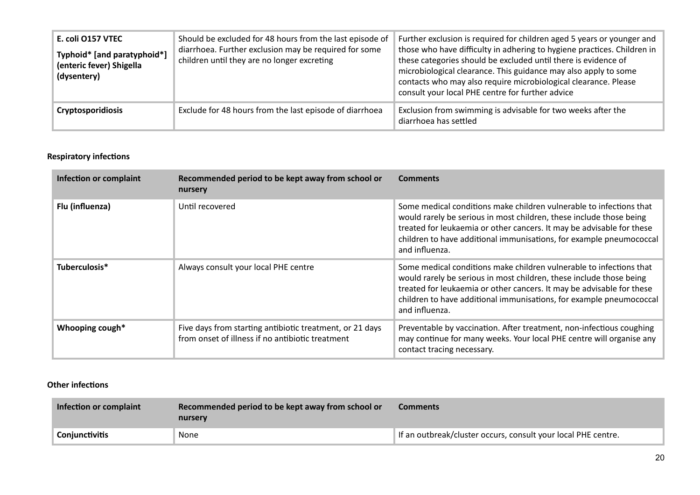| E. coli O157 VTEC<br>Typhoid* [and paratyphoid*]<br>(enteric fever) Shigella<br>(dysentery) | Should be excluded for 48 hours from the last episode of<br>diarrhoea. Further exclusion may be required for some<br>children until they are no longer excreting | Further exclusion is required for children aged 5 years or younger and<br>those who have difficulty in adhering to hygiene practices. Children in<br>these categories should be excluded until there is evidence of<br>microbiological clearance. This guidance may also apply to some<br>contacts who may also require microbiological clearance. Please<br>consult your local PHE centre for further advice |
|---------------------------------------------------------------------------------------------|------------------------------------------------------------------------------------------------------------------------------------------------------------------|---------------------------------------------------------------------------------------------------------------------------------------------------------------------------------------------------------------------------------------------------------------------------------------------------------------------------------------------------------------------------------------------------------------|
| <b>Cryptosporidiosis</b>                                                                    | Exclude for 48 hours from the last episode of diarrhoea                                                                                                          | Exclusion from swimming is advisable for two weeks after the<br>diarrhoea has settled                                                                                                                                                                                                                                                                                                                         |

# **Respiratory infections**

| Infection or complaint | Recommended period to be kept away from school or<br>nursery                                                 | <b>Comments</b>                                                                                                                                                                                                                                                                                              |
|------------------------|--------------------------------------------------------------------------------------------------------------|--------------------------------------------------------------------------------------------------------------------------------------------------------------------------------------------------------------------------------------------------------------------------------------------------------------|
| Flu (influenza)        | Until recovered                                                                                              | Some medical conditions make children vulnerable to infections that<br>would rarely be serious in most children, these include those being<br>treated for leukaemia or other cancers. It may be advisable for these<br>children to have additional immunisations, for example pneumococcal<br>and influenza. |
| Tuberculosis*          | Always consult your local PHE centre                                                                         | Some medical conditions make children vulnerable to infections that<br>would rarely be serious in most children, these include those being<br>treated for leukaemia or other cancers. It may be advisable for these<br>children to have additional immunisations, for example pneumococcal<br>and influenza. |
| Whooping cough*        | Five days from starting antibiotic treatment, or 21 days<br>from onset of illness if no antibiotic treatment | Preventable by vaccination. After treatment, non-infectious coughing<br>may continue for many weeks. Your local PHE centre will organise any<br>contact tracing necessary.                                                                                                                                   |

## **Other infections**

| Infection or complaint | Recommended period to be kept away from school or<br>nursery | <b>Comments</b>                                               |
|------------------------|--------------------------------------------------------------|---------------------------------------------------------------|
| Conjunctivitis         | None                                                         | If an outbreak/cluster occurs, consult your local PHE centre. |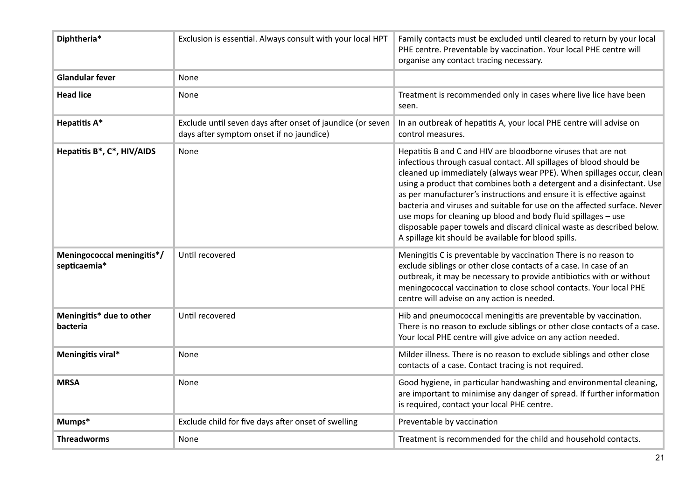| Diphtheria*                                | Exclusion is essential. Always consult with your local HPT                                             | Family contacts must be excluded until cleared to return by your local<br>PHE centre. Preventable by vaccination. Your local PHE centre will<br>organise any contact tracing necessary.                                                                                                                                                                                                                                                                                                                                                                                                                                                         |
|--------------------------------------------|--------------------------------------------------------------------------------------------------------|-------------------------------------------------------------------------------------------------------------------------------------------------------------------------------------------------------------------------------------------------------------------------------------------------------------------------------------------------------------------------------------------------------------------------------------------------------------------------------------------------------------------------------------------------------------------------------------------------------------------------------------------------|
| <b>Glandular fever</b>                     | None                                                                                                   |                                                                                                                                                                                                                                                                                                                                                                                                                                                                                                                                                                                                                                                 |
| <b>Head lice</b>                           | None                                                                                                   | Treatment is recommended only in cases where live lice have been<br>seen.                                                                                                                                                                                                                                                                                                                                                                                                                                                                                                                                                                       |
| <b>Hepatitis A*</b>                        | Exclude until seven days after onset of jaundice (or seven<br>days after symptom onset if no jaundice) | In an outbreak of hepatitis A, your local PHE centre will advise on<br>control measures.                                                                                                                                                                                                                                                                                                                                                                                                                                                                                                                                                        |
| Hepatitis B*, C*, HIV/AIDS                 | None                                                                                                   | Hepatitis B and C and HIV are bloodborne viruses that are not<br>infectious through casual contact. All spillages of blood should be<br>cleaned up immediately (always wear PPE). When spillages occur, clean<br>using a product that combines both a detergent and a disinfectant. Use<br>as per manufacturer's instructions and ensure it is effective against<br>bacteria and viruses and suitable for use on the affected surface. Never<br>use mops for cleaning up blood and body fluid spillages - use<br>disposable paper towels and discard clinical waste as described below.<br>A spillage kit should be available for blood spills. |
| Meningococcal meningitis*/<br>septicaemia* | Until recovered                                                                                        | Meningitis C is preventable by vaccination There is no reason to<br>exclude siblings or other close contacts of a case. In case of an<br>outbreak, it may be necessary to provide antibiotics with or without<br>meningococcal vaccination to close school contacts. Your local PHE<br>centre will advise on any action is needed.                                                                                                                                                                                                                                                                                                              |
| Meningitis* due to other<br>bacteria       | Until recovered                                                                                        | Hib and pneumococcal meningitis are preventable by vaccination.<br>There is no reason to exclude siblings or other close contacts of a case.<br>Your local PHE centre will give advice on any action needed.                                                                                                                                                                                                                                                                                                                                                                                                                                    |
| Meningitis viral*                          | None                                                                                                   | Milder illness. There is no reason to exclude siblings and other close<br>contacts of a case. Contact tracing is not required.                                                                                                                                                                                                                                                                                                                                                                                                                                                                                                                  |
| <b>MRSA</b>                                | None                                                                                                   | Good hygiene, in particular handwashing and environmental cleaning,<br>are important to minimise any danger of spread. If further information<br>is required, contact your local PHE centre.                                                                                                                                                                                                                                                                                                                                                                                                                                                    |
| Mumps*                                     | Exclude child for five days after onset of swelling                                                    | Preventable by vaccination                                                                                                                                                                                                                                                                                                                                                                                                                                                                                                                                                                                                                      |
| <b>Threadworms</b>                         | None                                                                                                   | Treatment is recommended for the child and household contacts.                                                                                                                                                                                                                                                                                                                                                                                                                                                                                                                                                                                  |